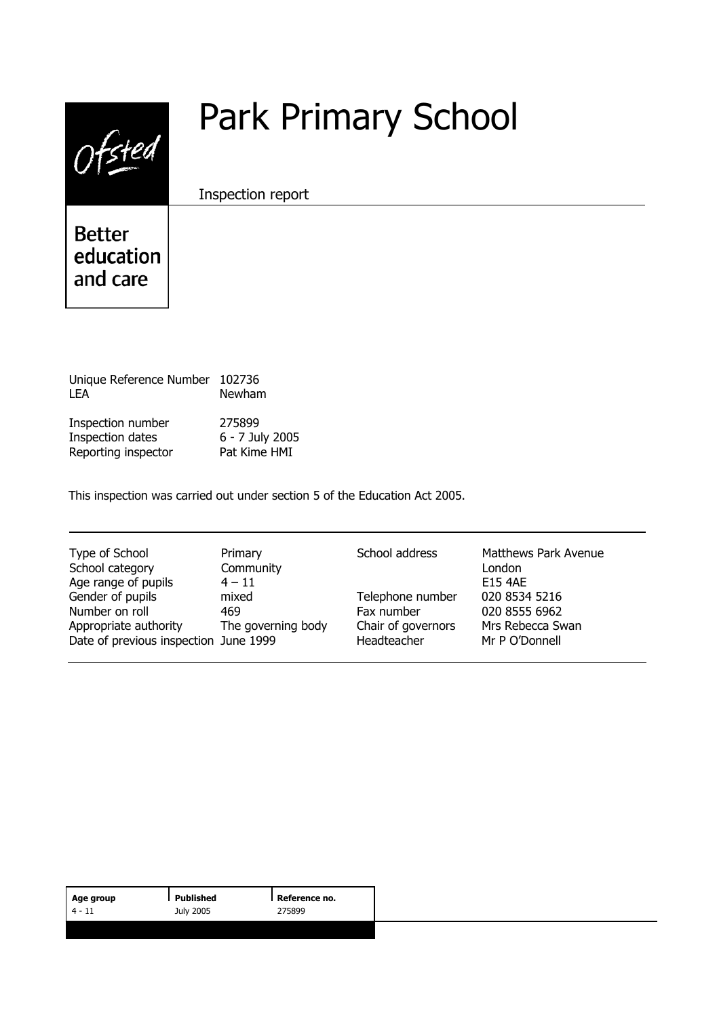| $\prime\prime$                         | <b>Park Primary School</b> |
|----------------------------------------|----------------------------|
|                                        | Inspection report          |
| <b>Better</b><br>education<br>and care |                            |
|                                        |                            |

| Unique Reference Number 102736<br>I FA | Newham          |
|----------------------------------------|-----------------|
| Inspection number                      | 275899          |
| Inspection dates                       | 6 - 7 July 2005 |
| Reporting inspector                    | Pat Kime HMI    |

This inspection was carried out under section 5 of the Education Act 2005.

| Chair of governors<br>The governing body<br>Mrs Rebecca Swan<br>Appropriate authority<br>Date of previous inspection June 1999<br>Headteacher<br>Mr P O'Donnell | Type of School<br>School category<br>Age range of pupils<br>Gender of pupils<br>Number on roll | Primary<br>Community<br>$4 - 11$<br>mixed<br>469 | School address<br>Telephone number<br>Fax number | <b>Matthews Park Avenue</b><br>London<br><b>E15 4AF</b><br>020 8534 5216<br>020 8555 6962 |
|-----------------------------------------------------------------------------------------------------------------------------------------------------------------|------------------------------------------------------------------------------------------------|--------------------------------------------------|--------------------------------------------------|-------------------------------------------------------------------------------------------|
|-----------------------------------------------------------------------------------------------------------------------------------------------------------------|------------------------------------------------------------------------------------------------|--------------------------------------------------|--------------------------------------------------|-------------------------------------------------------------------------------------------|

| Age group | Published | I Reference no. |
|-----------|-----------|-----------------|
| $4 - 11$  | July 2005 | 275899          |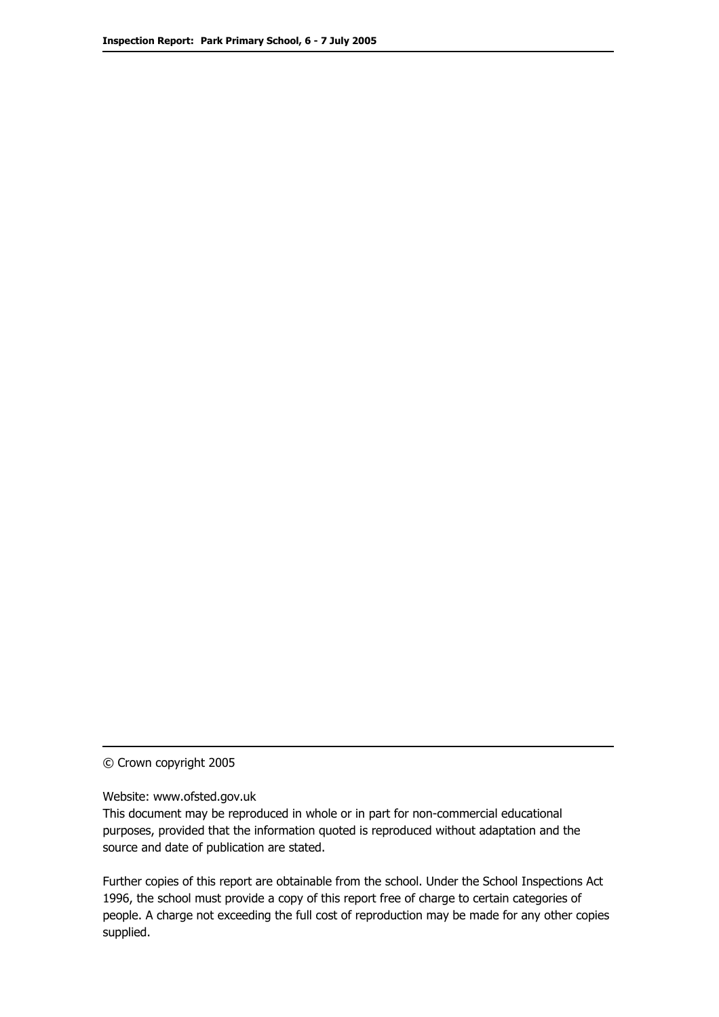© Crown copyright 2005

Website: www.ofsted.gov.uk

This document may be reproduced in whole or in part for non-commercial educational purposes, provided that the information quoted is reproduced without adaptation and the source and date of publication are stated.

Further copies of this report are obtainable from the school. Under the School Inspections Act 1996, the school must provide a copy of this report free of charge to certain categories of people. A charge not exceeding the full cost of reproduction may be made for any other copies supplied.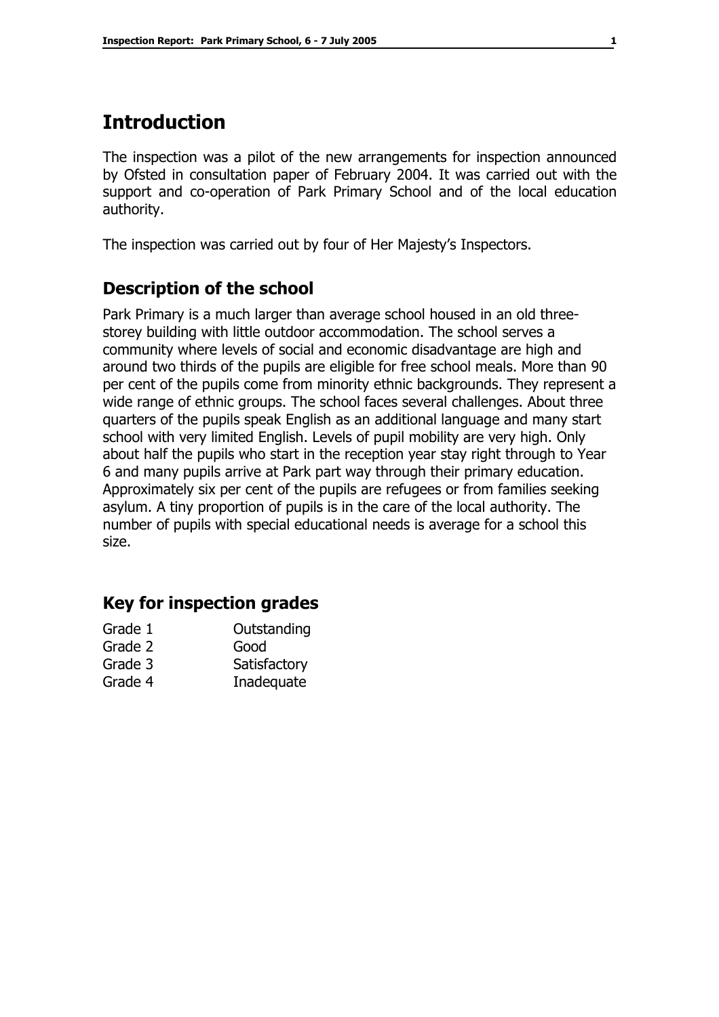# **Introduction**

The inspection was a pilot of the new arrangements for inspection announced by Ofsted in consultation paper of February 2004. It was carried out with the support and co-operation of Park Primary School and of the local education authority.

The inspection was carried out by four of Her Majesty's Inspectors.

## **Description of the school**

Park Primary is a much larger than average school housed in an old threestorey building with little outdoor accommodation. The school serves a community where levels of social and economic disadvantage are high and around two thirds of the pupils are eligible for free school meals. More than 90 per cent of the pupils come from minority ethnic backgrounds. They represent a wide range of ethnic groups. The school faces several challenges. About three quarters of the pupils speak English as an additional language and many start school with very limited English. Levels of pupil mobility are very high. Only about half the pupils who start in the reception year stay right through to Year 6 and many pupils arrive at Park part way through their primary education. Approximately six per cent of the pupils are refugees or from families seeking asylum. A tiny proportion of pupils is in the care of the local authority. The number of pupils with special educational needs is average for a school this size.

## **Key for inspection grades**

| Grade 1 | Outstanding  |
|---------|--------------|
| Grade 2 | Good         |
| Grade 3 | Satisfactory |
| Grade 4 | Inadequate   |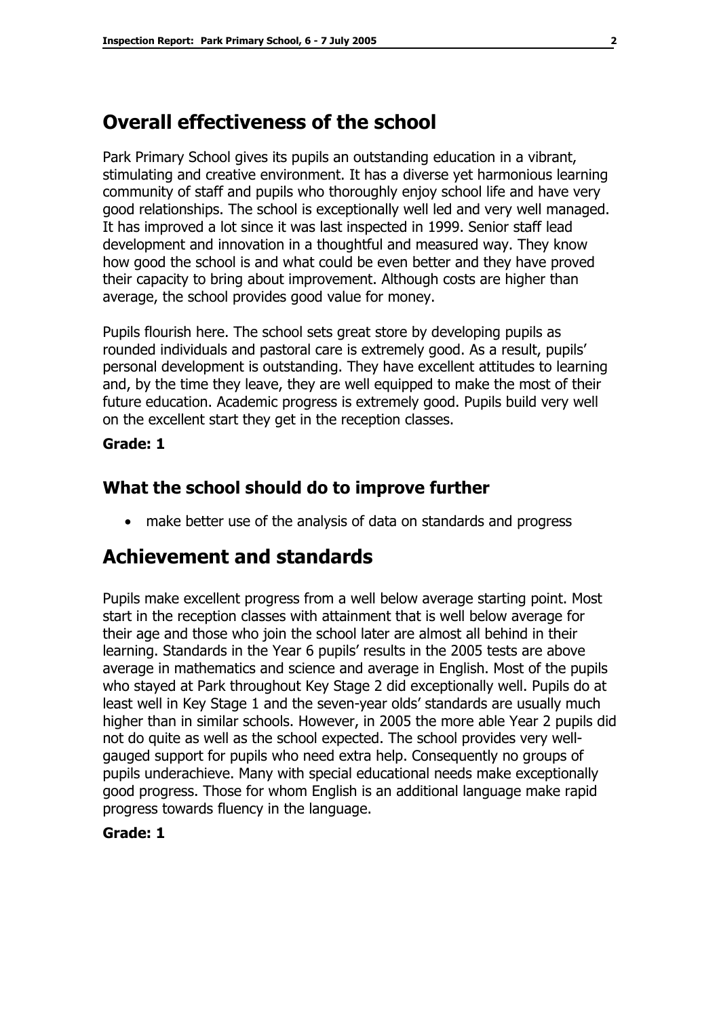# **Overall effectiveness of the school**

Park Primary School gives its pupils an outstanding education in a vibrant, stimulating and creative environment. It has a diverse yet harmonious learning community of staff and pupils who thoroughly enjoy school life and have very good relationships. The school is exceptionally well led and very well managed. It has improved a lot since it was last inspected in 1999. Senior staff lead development and innovation in a thoughtful and measured way. They know how good the school is and what could be even better and they have proved their capacity to bring about improvement. Although costs are higher than average, the school provides good value for money.

Pupils flourish here. The school sets great store by developing pupils as rounded individuals and pastoral care is extremely good. As a result, pupils' personal development is outstanding. They have excellent attitudes to learning and, by the time they leave, they are well equipped to make the most of their future education. Academic progress is extremely good. Pupils build very well on the excellent start they get in the reception classes.

#### **Grade: 1**

## **What the school should do to improve further**

• make better use of the analysis of data on standards and progress

# **Achievement and standards**

Pupils make excellent progress from a well below average starting point. Most start in the reception classes with attainment that is well below average for their age and those who join the school later are almost all behind in their learning. Standards in the Year 6 pupils' results in the 2005 tests are above average in mathematics and science and average in English. Most of the pupils who stayed at Park throughout Key Stage 2 did exceptionally well. Pupils do at least well in Key Stage 1 and the seven-year olds' standards are usually much higher than in similar schools. However, in 2005 the more able Year 2 pupils did not do quite as well as the school expected. The school provides very wellgauged support for pupils who need extra help. Consequently no groups of pupils underachieve. Many with special educational needs make exceptionally good progress. Those for whom English is an additional language make rapid progress towards fluency in the language.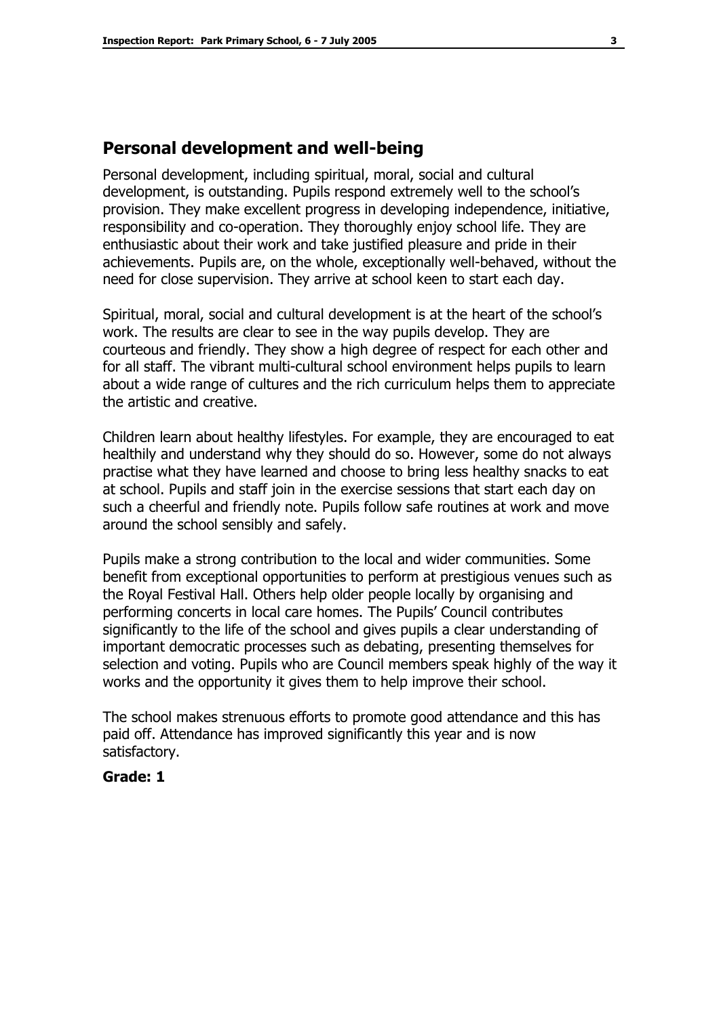### **Personal development and well-being**

Personal development, including spiritual, moral, social and cultural development, is outstanding. Pupils respond extremely well to the school's provision. They make excellent progress in developing independence, initiative, responsibility and co-operation. They thoroughly enjoy school life. They are enthusiastic about their work and take justified pleasure and pride in their achievements. Pupils are, on the whole, exceptionally well-behaved, without the need for close supervision. They arrive at school keen to start each day.

Spiritual, moral, social and cultural development is at the heart of the school's work. The results are clear to see in the way pupils develop. They are courteous and friendly. They show a high degree of respect for each other and for all staff. The vibrant multi-cultural school environment helps pupils to learn about a wide range of cultures and the rich curriculum helps them to appreciate the artistic and creative.

Children learn about healthy lifestyles. For example, they are encouraged to eat healthily and understand why they should do so. However, some do not always practise what they have learned and choose to bring less healthy snacks to eat at school. Pupils and staff join in the exercise sessions that start each day on such a cheerful and friendly note. Pupils follow safe routines at work and move around the school sensibly and safely.

Pupils make a strong contribution to the local and wider communities. Some benefit from exceptional opportunities to perform at prestigious venues such as the Royal Festival Hall. Others help older people locally by organising and performing concerts in local care homes. The Pupils' Council contributes significantly to the life of the school and gives pupils a clear understanding of important democratic processes such as debating, presenting themselves for selection and voting. Pupils who are Council members speak highly of the way it works and the opportunity it gives them to help improve their school.

The school makes strenuous efforts to promote good attendance and this has paid off. Attendance has improved significantly this year and is now satisfactory.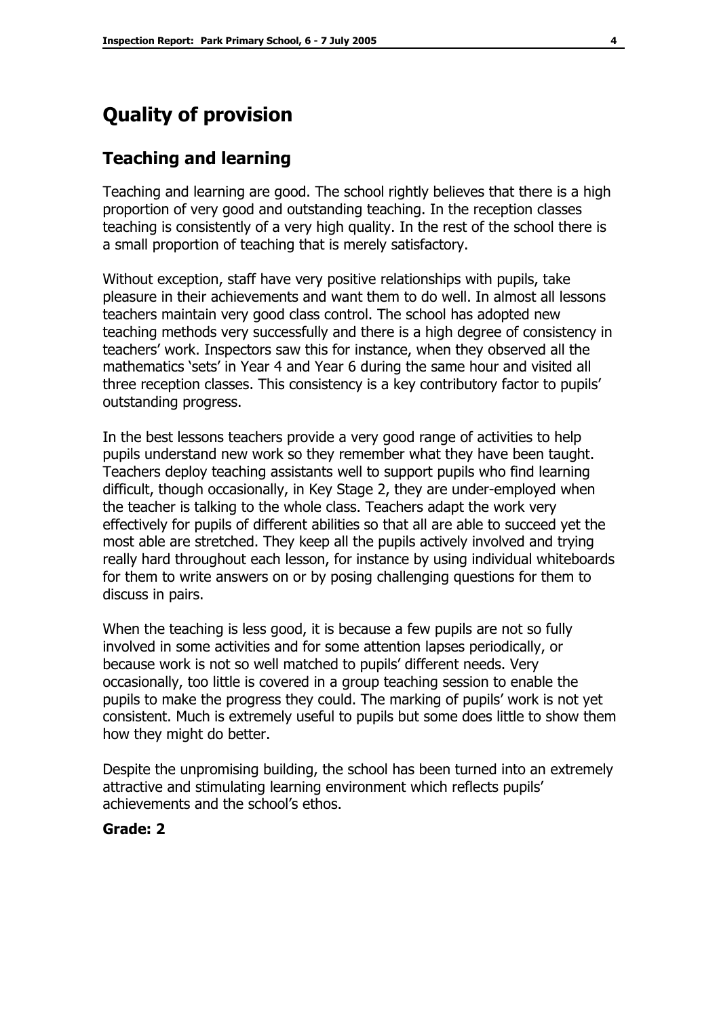# **Quality of provision**

## **Teaching and learning**

Teaching and learning are good. The school rightly believes that there is a high proportion of very good and outstanding teaching. In the reception classes teaching is consistently of a very high quality. In the rest of the school there is a small proportion of teaching that is merely satisfactory.

Without exception, staff have very positive relationships with pupils, take pleasure in their achievements and want them to do well. In almost all lessons teachers maintain very good class control. The school has adopted new teaching methods very successfully and there is a high degree of consistency in teachersí work. Inspectors saw this for instance, when they observed all the mathematics 'sets' in Year 4 and Year 6 during the same hour and visited all three reception classes. This consistency is a key contributory factor to pupils' outstanding progress.

In the best lessons teachers provide a very good range of activities to help pupils understand new work so they remember what they have been taught. Teachers deploy teaching assistants well to support pupils who find learning difficult, though occasionally, in Key Stage 2, they are under-employed when the teacher is talking to the whole class. Teachers adapt the work very effectively for pupils of different abilities so that all are able to succeed yet the most able are stretched. They keep all the pupils actively involved and trying really hard throughout each lesson, for instance by using individual whiteboards for them to write answers on or by posing challenging questions for them to discuss in pairs.

When the teaching is less good, it is because a few pupils are not so fully involved in some activities and for some attention lapses periodically, or because work is not so well matched to pupils' different needs. Very occasionally, too little is covered in a group teaching session to enable the pupils to make the progress they could. The marking of pupils' work is not yet consistent. Much is extremely useful to pupils but some does little to show them how they might do better.

Despite the unpromising building, the school has been turned into an extremely attractive and stimulating learning environment which reflects pupils' achievements and the schoolís ethos.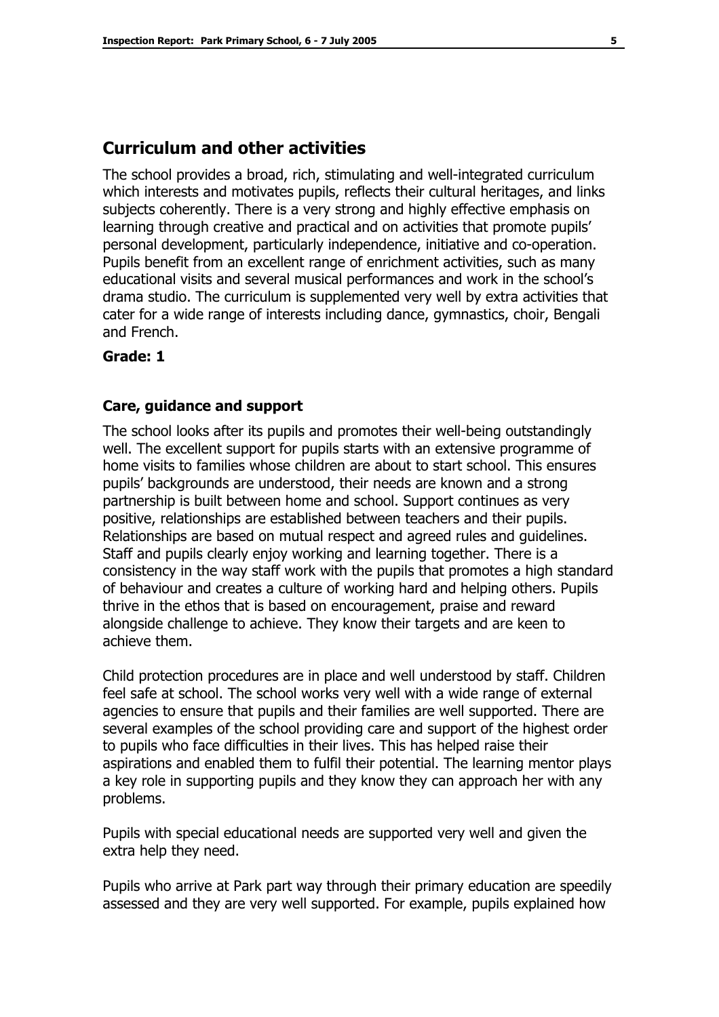### **Curriculum and other activities**

The school provides a broad, rich, stimulating and well-integrated curriculum which interests and motivates pupils, reflects their cultural heritages, and links subjects coherently. There is a very strong and highly effective emphasis on learning through creative and practical and on activities that promote pupils' personal development, particularly independence, initiative and co-operation. Pupils benefit from an excellent range of enrichment activities, such as many educational visits and several musical performances and work in the schoolís drama studio. The curriculum is supplemented very well by extra activities that cater for a wide range of interests including dance, gymnastics, choir, Bengali and French.

#### **Grade: 1**

#### **Care, guidance and support**

The school looks after its pupils and promotes their well-being outstandingly well. The excellent support for pupils starts with an extensive programme of home visits to families whose children are about to start school. This ensures pupils' backgrounds are understood, their needs are known and a strong partnership is built between home and school. Support continues as very positive, relationships are established between teachers and their pupils. Relationships are based on mutual respect and agreed rules and guidelines. Staff and pupils clearly enjoy working and learning together. There is a consistency in the way staff work with the pupils that promotes a high standard of behaviour and creates a culture of working hard and helping others. Pupils thrive in the ethos that is based on encouragement, praise and reward alongside challenge to achieve. They know their targets and are keen to achieve them.

Child protection procedures are in place and well understood by staff. Children feel safe at school. The school works very well with a wide range of external agencies to ensure that pupils and their families are well supported. There are several examples of the school providing care and support of the highest order to pupils who face difficulties in their lives. This has helped raise their aspirations and enabled them to fulfil their potential. The learning mentor plays a key role in supporting pupils and they know they can approach her with any problems.

Pupils with special educational needs are supported very well and given the extra help they need.

Pupils who arrive at Park part way through their primary education are speedily assessed and they are very well supported. For example, pupils explained how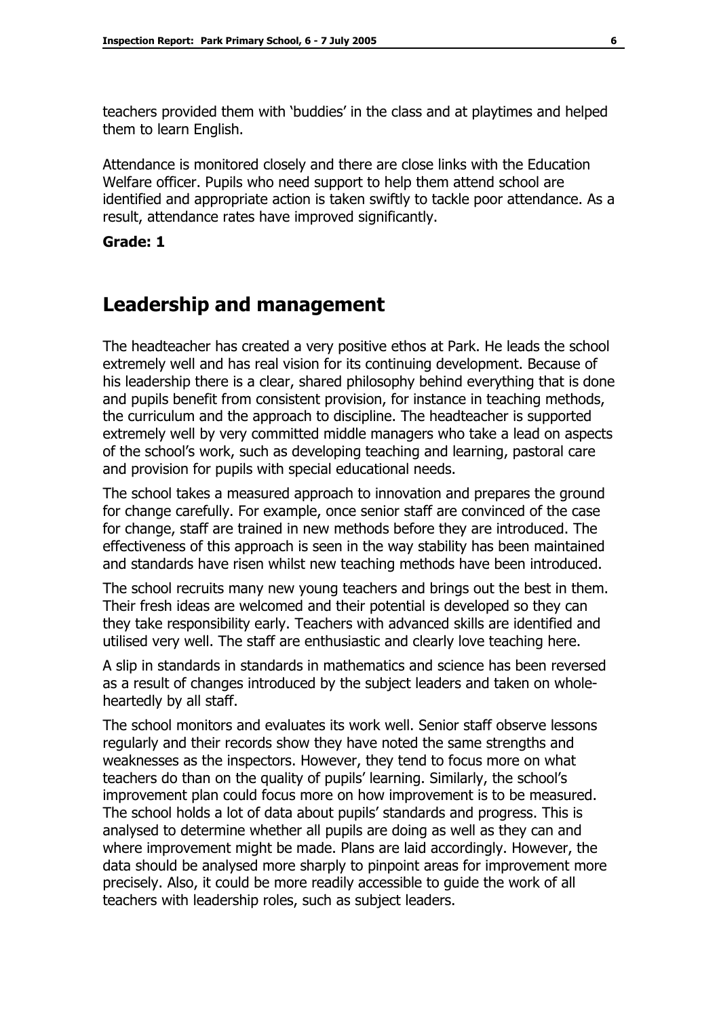teachers provided them with 'buddies' in the class and at playtimes and helped them to learn English.

Attendance is monitored closely and there are close links with the Education Welfare officer. Pupils who need support to help them attend school are identified and appropriate action is taken swiftly to tackle poor attendance. As a result, attendance rates have improved significantly.

#### **Grade: 1**

## **Leadership and management**

The headteacher has created a very positive ethos at Park. He leads the school extremely well and has real vision for its continuing development. Because of his leadership there is a clear, shared philosophy behind everything that is done and pupils benefit from consistent provision, for instance in teaching methods, the curriculum and the approach to discipline. The headteacher is supported extremely well by very committed middle managers who take a lead on aspects of the schoolís work, such as developing teaching and learning, pastoral care and provision for pupils with special educational needs.

The school takes a measured approach to innovation and prepares the ground for change carefully. For example, once senior staff are convinced of the case for change, staff are trained in new methods before they are introduced. The effectiveness of this approach is seen in the way stability has been maintained and standards have risen whilst new teaching methods have been introduced.

The school recruits many new young teachers and brings out the best in them. Their fresh ideas are welcomed and their potential is developed so they can they take responsibility early. Teachers with advanced skills are identified and utilised very well. The staff are enthusiastic and clearly love teaching here.

A slip in standards in standards in mathematics and science has been reversed as a result of changes introduced by the subject leaders and taken on wholeheartedly by all staff.

The school monitors and evaluates its work well. Senior staff observe lessons regularly and their records show they have noted the same strengths and weaknesses as the inspectors. However, they tend to focus more on what teachers do than on the quality of pupils' learning. Similarly, the school's improvement plan could focus more on how improvement is to be measured. The school holds a lot of data about pupils' standards and progress. This is analysed to determine whether all pupils are doing as well as they can and where improvement might be made. Plans are laid accordingly. However, the data should be analysed more sharply to pinpoint areas for improvement more precisely. Also, it could be more readily accessible to guide the work of all teachers with leadership roles, such as subject leaders.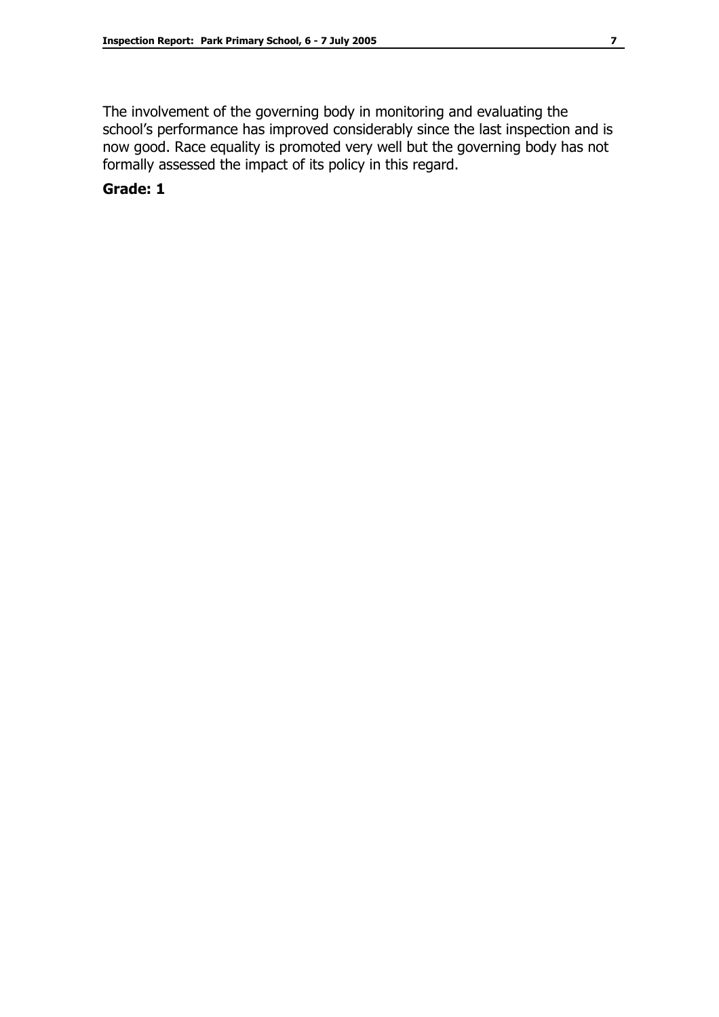The involvement of the governing body in monitoring and evaluating the school's performance has improved considerably since the last inspection and is now good. Race equality is promoted very well but the governing body has not formally assessed the impact of its policy in this regard.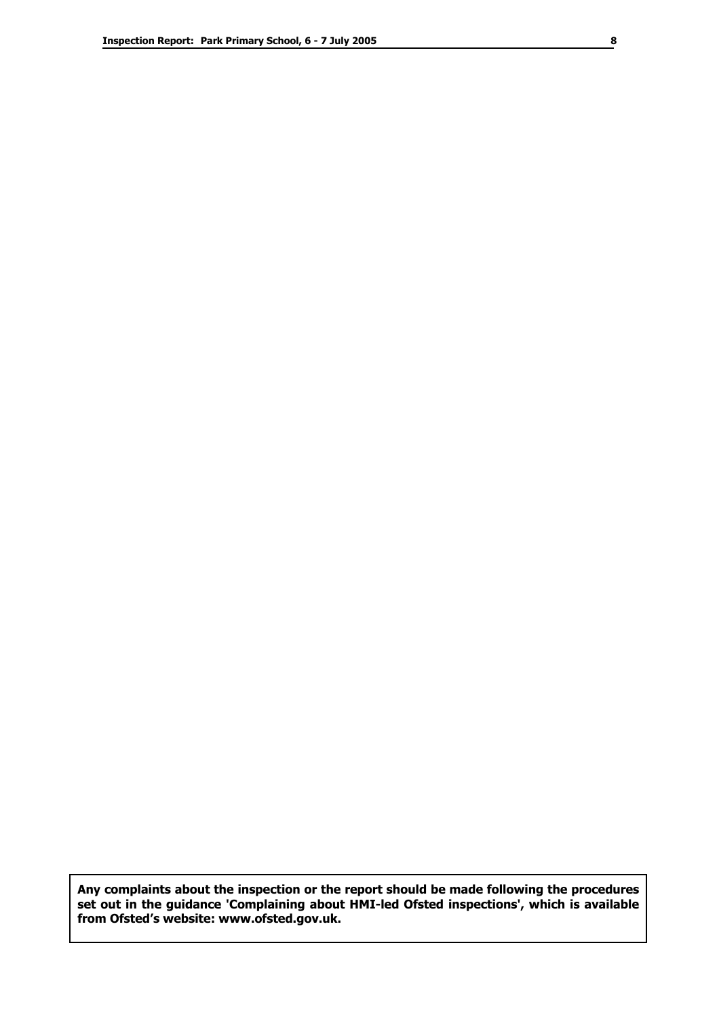**Any complaints about the inspection or the report should be made following the procedures set out in the guidance 'Complaining about HMI-led Ofsted inspections', which is available from Ofstedís website: www.ofsted.gov.uk.**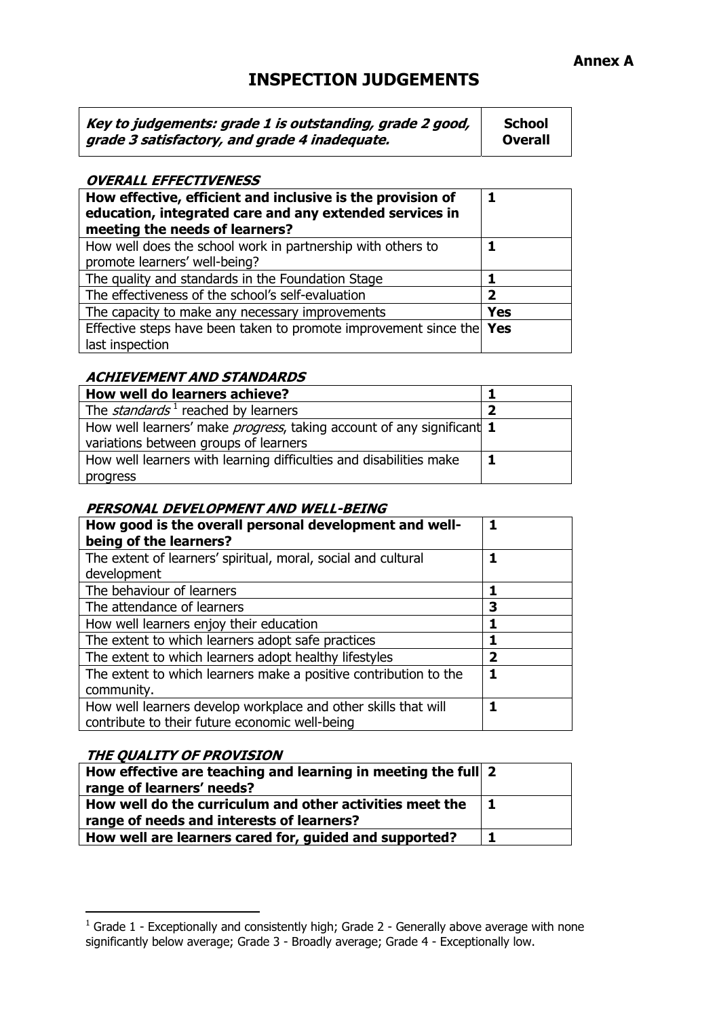#### **Annex A**

## **INSPECTION JUDGEMENTS**

| Key to judgements: grade 1 is outstanding, grade 2 good, | <b>School</b>  |
|----------------------------------------------------------|----------------|
| grade 3 satisfactory, and grade 4 inadequate.            | <b>Overall</b> |

#### **OVERALL EFFECTIVENESS**

| How effective, efficient and inclusive is the provision of<br>education, integrated care and any extended services in<br>meeting the needs of learners? | 1          |
|---------------------------------------------------------------------------------------------------------------------------------------------------------|------------|
| How well does the school work in partnership with others to<br>promote learners' well-being?                                                            |            |
| The quality and standards in the Foundation Stage                                                                                                       | 1          |
| The effectiveness of the school's self-evaluation                                                                                                       | 2          |
| The capacity to make any necessary improvements                                                                                                         | <b>Yes</b> |
| Effective steps have been taken to promote improvement since the Yes<br>last inspection                                                                 |            |

#### **ACHIEVEMENT AND STANDARDS**

| How well do learners achieve?                                                 |  |
|-------------------------------------------------------------------------------|--|
| The <i>standards</i> <sup>1</sup> reached by learners                         |  |
| How well learners' make <i>progress</i> , taking account of any significant 1 |  |
| variations between groups of learners                                         |  |
| How well learners with learning difficulties and disabilities make            |  |
| progress                                                                      |  |

#### **PERSONAL DEVELOPMENT AND WELL-BEING**

| How good is the overall personal development and well-<br>being of the learners?                                 |   |
|------------------------------------------------------------------------------------------------------------------|---|
| The extent of learners' spiritual, moral, social and cultural<br>development                                     |   |
| The behaviour of learners                                                                                        |   |
| The attendance of learners                                                                                       | З |
| How well learners enjoy their education                                                                          |   |
| The extent to which learners adopt safe practices                                                                |   |
| The extent to which learners adopt healthy lifestyles                                                            | 2 |
| The extent to which learners make a positive contribution to the<br>community.                                   |   |
| How well learners develop workplace and other skills that will<br>contribute to their future economic well-being |   |

#### **THE QUALITY OF PROVISION**

| How effective are teaching and learning in meeting the full 2 |  |
|---------------------------------------------------------------|--|
| range of learners' needs?                                     |  |
| How well do the curriculum and other activities meet the      |  |
| range of needs and interests of learners?                     |  |
| How well are learners cared for, guided and supported?        |  |

 1 Grade 1 - Exceptionally and consistently high; Grade 2 - Generally above average with none significantly below average; Grade 3 - Broadly average; Grade 4 - Exceptionally low.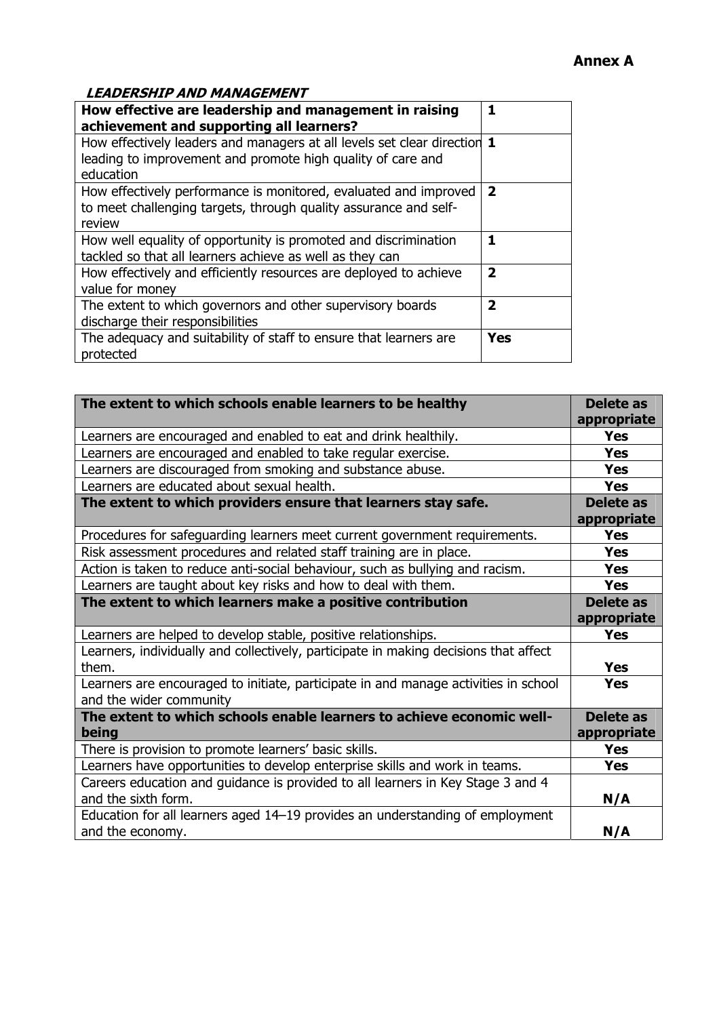#### **LEADERSHIP AND MANAGEMENT**

| How effective are leadership and management in raising<br>achievement and supporting all learners?                                                   | 1                       |
|------------------------------------------------------------------------------------------------------------------------------------------------------|-------------------------|
| How effectively leaders and managers at all levels set clear direction 1<br>leading to improvement and promote high quality of care and<br>education |                         |
| How effectively performance is monitored, evaluated and improved<br>to meet challenging targets, through quality assurance and self-<br>review       | $\overline{2}$          |
| How well equality of opportunity is promoted and discrimination<br>tackled so that all learners achieve as well as they can                          | 1                       |
| How effectively and efficiently resources are deployed to achieve<br>value for money                                                                 | $\overline{\mathbf{2}}$ |
| The extent to which governors and other supervisory boards<br>discharge their responsibilities                                                       | $\overline{\mathbf{2}}$ |
| The adequacy and suitability of staff to ensure that learners are<br>protected                                                                       | <b>Yes</b>              |

| The extent to which schools enable learners to be healthy                                                      | Delete as<br>appropriate        |
|----------------------------------------------------------------------------------------------------------------|---------------------------------|
| Learners are encouraged and enabled to eat and drink healthily.                                                | <b>Yes</b>                      |
| Learners are encouraged and enabled to take regular exercise.                                                  | <b>Yes</b>                      |
| Learners are discouraged from smoking and substance abuse.                                                     | <b>Yes</b>                      |
| Learners are educated about sexual health.                                                                     | <b>Yes</b>                      |
| The extent to which providers ensure that learners stay safe.                                                  | <b>Delete as</b><br>appropriate |
| Procedures for safeguarding learners meet current government requirements.                                     | <b>Yes</b>                      |
| Risk assessment procedures and related staff training are in place.                                            | <b>Yes</b>                      |
| Action is taken to reduce anti-social behaviour, such as bullying and racism.                                  | <b>Yes</b>                      |
| Learners are taught about key risks and how to deal with them.                                                 | <b>Yes</b>                      |
| The extent to which learners make a positive contribution                                                      | <b>Delete as</b><br>appropriate |
| Learners are helped to develop stable, positive relationships.                                                 | <b>Yes</b>                      |
| Learners, individually and collectively, participate in making decisions that affect<br>them.                  | <b>Yes</b>                      |
| Learners are encouraged to initiate, participate in and manage activities in school<br>and the wider community | <b>Yes</b>                      |
| The extent to which schools enable learners to achieve economic well-<br>being                                 | <b>Delete as</b><br>appropriate |
| There is provision to promote learners' basic skills.                                                          | <b>Yes</b>                      |
| Learners have opportunities to develop enterprise skills and work in teams.                                    | <b>Yes</b>                      |
| Careers education and guidance is provided to all learners in Key Stage 3 and 4<br>and the sixth form.         | N/A                             |
| Education for all learners aged 14-19 provides an understanding of employment<br>and the economy.              | N/A                             |